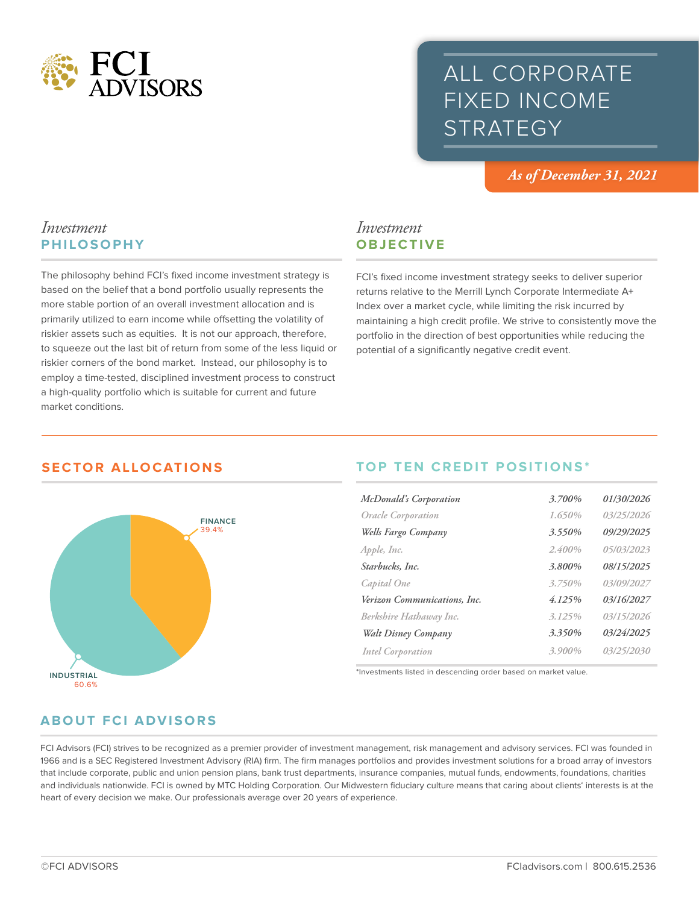

# ALL CORPORATE FIXED INCOME **STRATEGY**

*As of December 31, 2021*

## *Investment* **PHILOSOPHY**

The philosophy behind FCI's fixed income investment strategy is based on the belief that a bond portfolio usually represents the more stable portion of an overall investment allocation and is primarily utilized to earn income while offsetting the volatility of riskier assets such as equities. It is not our approach, therefore, to squeeze out the last bit of return from some of the less liquid or riskier corners of the bond market. Instead, our philosophy is to employ a time-tested, disciplined investment process to construct a high-quality portfolio which is suitable for current and future market conditions.

# *Investment* **OBJECTIVE**

FCI's fixed income investment strategy seeks to deliver superior returns relative to the Merrill Lynch Corporate Intermediate A+ Index over a market cycle, while limiting the risk incurred by maintaining a high credit profile. We strive to consistently move the portfolio in the direction of best opportunities while reducing the potential of a significantly negative credit event.

# **SECTOR ALLOCATIONS**



# **TOP TEN CREDIT POSITIONS\***

| <b>McDonald's Corporation</b> | 3.700%    | 01/30/2026 |
|-------------------------------|-----------|------------|
| Oracle Corporation            | 1.650%    | 03/25/2026 |
| Wells Fargo Company           | 3.550%    | 09/29/2025 |
| Apple, Inc.                   | 2.400%    | 05/03/2023 |
| Starbucks, Inc.               | 3.800%    | 08/15/2025 |
| Capital One                   | 3.750%    | 03/09/2027 |
| Verizon Communications, Inc.  | 4.125%    | 03/16/2027 |
| Berkshire Hathaway Inc.       | 3.125%    | 03/15/2026 |
| Walt Disney Company           | 3.350%    | 03/24/2025 |
| <b>Intel Corporation</b>      | $3.900\%$ | 03/25/2030 |

\*Investments listed in descending order based on market value.

# **ABOUT FCI ADVISORS**

FCI Advisors (FCI) strives to be recognized as a premier provider of investment management, risk management and advisory services. FCI was founded in 1966 and is a SEC Registered Investment Advisory (RIA) firm. The firm manages portfolios and provides investment solutions for a broad array of investors that include corporate, public and union pension plans, bank trust departments, insurance companies, mutual funds, endowments, foundations, charities and individuals nationwide. FCI is owned by MTC Holding Corporation. Our Midwestern fiduciary culture means that caring about clients' interests is at the heart of every decision we make. Our professionals average over 20 years of experience.